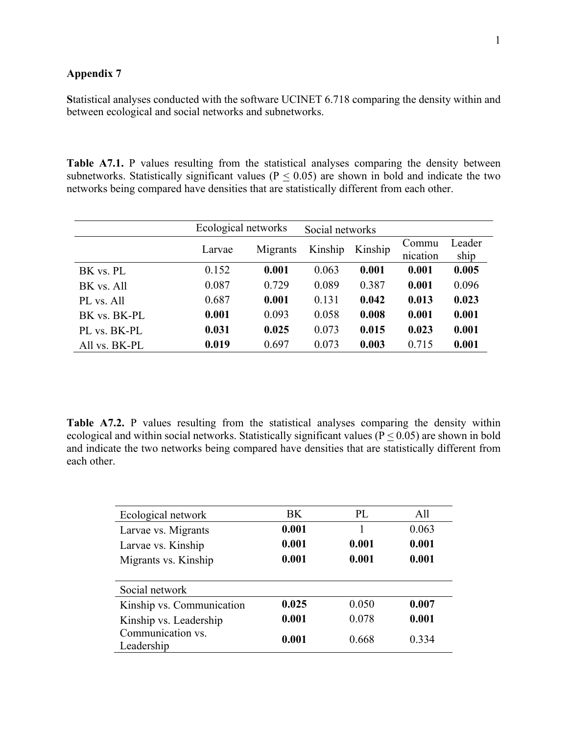## **Appendix 7**

**S**tatistical analyses conducted with the software UCINET 6.718 comparing the density within and between ecological and social networks and subnetworks.

Table A7.1. P values resulting from the statistical analyses comparing the density between subnetworks. Statistically significant values ( $P \le 0.05$ ) are shown in bold and indicate the two networks being compared have densities that are statistically different from each other.

|               | Ecological networks |          | Social networks |         |                   |                |
|---------------|---------------------|----------|-----------------|---------|-------------------|----------------|
|               | Larvae              | Migrants | Kinship         | Kinship | Commu<br>nication | Leader<br>ship |
| BK vs. PL     | 0.152               | 0.001    | 0.063           | 0.001   | 0.001             | 0.005          |
| BK vs. All    | 0.087               | 0.729    | 0.089           | 0.387   | 0.001             | 0.096          |
| PL vs. All    | 0.687               | 0.001    | 0.131           | 0.042   | 0.013             | 0.023          |
| BK vs. BK-PL  | 0.001               | 0.093    | 0.058           | 0.008   | 0.001             | 0.001          |
| PL vs. BK-PL  | 0.031               | 0.025    | 0.073           | 0.015   | 0.023             | 0.001          |
| All vs. BK-PL | 0.019               | 0.697    | 0.073           | 0.003   | 0.715             | 0.001          |

**Table A7.2.** P values resulting from the statistical analyses comparing the density within ecological and within social networks. Statistically significant values ( $P < 0.05$ ) are shown in bold and indicate the two networks being compared have densities that are statistically different from each other.

| Ecological network              | BK.   | PL    | A11   |
|---------------------------------|-------|-------|-------|
| Larvae vs. Migrants             | 0.001 |       | 0.063 |
| Larvae vs. Kinship              | 0.001 | 0.001 | 0.001 |
| Migrants vs. Kinship            | 0.001 | 0.001 | 0.001 |
|                                 |       |       |       |
| Social network                  |       |       |       |
| Kinship vs. Communication       | 0.025 | 0.050 | 0.007 |
| Kinship vs. Leadership          | 0.001 | 0.078 | 0.001 |
| Communication vs.<br>Leadership | 0.001 | 0.668 | 0.334 |